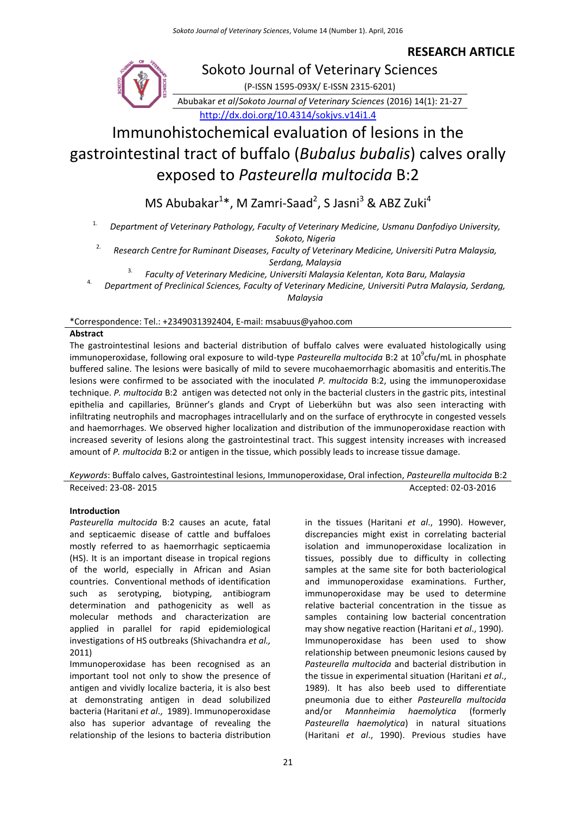**RESEARCH ARTICLE**



# Sokoto Journal of Veterinary Sciences

(P-ISSN 1595-093X/ E-ISSN 2315-6201)

Abubakar *et al*/*Sokoto Journal of Veterinary Sciences* (2016) 14(1): 21-27 <http://dx.doi.org/10.4314/sokjvs.v14i1.4>

# Immunohistochemical evaluation of lesions in the gastrointestinal tract of buffalo (*Bubalus bubalis*) calves orally exposed to *Pasteurella multocida* B:2

MS Abubakar $^{1*}$ , M Zamri-Saad<sup>2</sup>, S Jasni<sup>3</sup> & ABZ Zuki<sup>4</sup>

1. *Department of Veterinary Pathology, Faculty of Veterinary Medicine, Usmanu Danfodiyo University, Sokoto, Nigeria*

2. *Research Centre for Ruminant Diseases, Faculty of Veterinary Medicine, Universiti Putra Malaysia,* 

*Serdang, Malaysia* 

3. *Faculty of Veterinary Medicine, Universiti Malaysia Kelentan, Kota Baru, Malaysia* 

4. *Department of Preclinical Sciences, Faculty of Veterinary Medicine, Universiti Putra Malaysia, Serdang, Malaysia*

\*Correspondence: Tel.: +2349031392404, E-mail: msabuus@yahoo.com

# **Abstract**

The gastrointestinal lesions and bacterial distribution of buffalo calves were evaluated histologically using immunoperoxidase, following oral exposure to wild-type Pasteurella multocida B:2 at 10<sup>9</sup>cfu/mL in phosphate buffered saline. The lesions were basically of mild to severe mucohaemorrhagic abomasitis and enteritis.The lesions were confirmed to be associated with the inoculated *P. multocida* B:2, using the immunoperoxidase technique. *P. multocida* B:2 antigen was detected not only in the bacterial clusters in the gastric pits, intestinal epithelia and capillaries, Brünner's glands and Crypt of Lieberkühn but was also seen interacting with infiltrating neutrophils and macrophages intracellularly and on the surface of erythrocyte in congested vessels and haemorrhages. We observed higher localization and distribution of the immunoperoxidase reaction with increased severity of lesions along the gastrointestinal tract. This suggest intensity increases with increased amount of *P. multocida* B:2 or antigen in the tissue, which possibly leads to increase tissue damage.

*Keywords*: Buffalo calves, Gastrointestinal lesions, Immunoperoxidase, Oral infection, *Pasteurella multocida* B:2 Received: 23-08- 2015 **Accepted: 02-03-2016** 

# **Introduction**

*Pasteurella multocida* B:2 causes an acute, fatal and septicaemic disease of cattle and buffaloes mostly referred to as haemorrhagic septicaemia (HS). It is an important disease in tropical regions of the world, especially in African and Asian countries. Conventional methods of identification such as serotyping, biotyping, antibiogram determination and pathogenicity as well as molecular methods and characterization are applied in parallel for rapid epidemiological investigations of HS outbreaks (Shivachandra *et al.,* 2011)

Immunoperoxidase has been recognised as an important tool not only to show the presence of antigen and vividly localize bacteria, it is also best at demonstrating antigen in dead solubilized bacteria (Haritani *et al*., 1989). Immunoperoxidase also has superior advantage of revealing the relationship of the lesions to bacteria distribution

in the tissues (Haritani *et al*., 1990). However, discrepancies might exist in correlating bacterial isolation and immunoperoxidase localization in tissues, possibly due to difficulty in collecting samples at the same site for both bacteriological and immunoperoxidase examinations. Further, immunoperoxidase may be used to determine relative bacterial concentration in the tissue as samples containing low bacterial concentration may show negative reaction (Haritani *et al*., 1990). Immunoperoxidase has been used to show relationship between pneumonic lesions caused by *Pasteurella multocida* and bacterial distribution in the tissue in experimental situation (Haritani *et al*., 1989). It has also beeb used to differentiate pneumonia due to either *Pasteurella multocida* and/or *Mannheimia haemolytica* (formerly *Pasteurella haemolytica*) in natural situations (Haritani *et al*., 1990). Previous studies have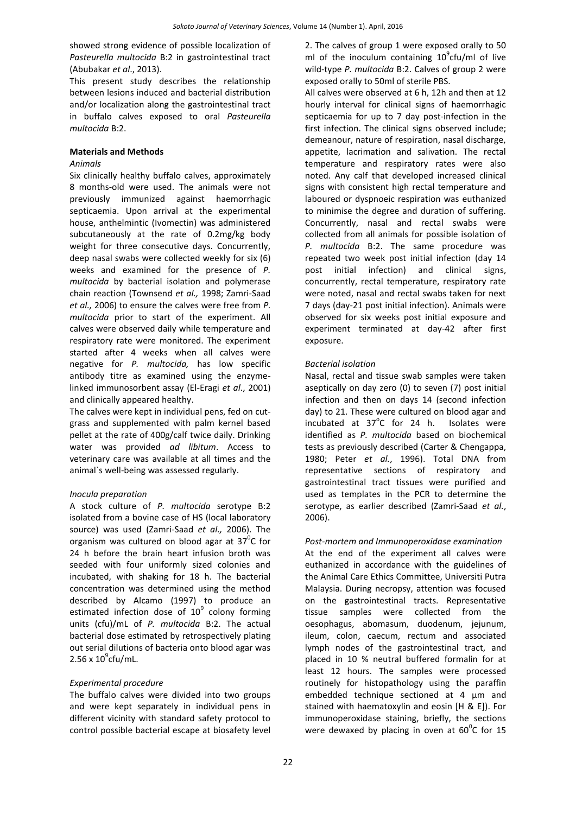showed strong evidence of possible localization of *Pasteurella multocida* B:2 in gastrointestinal tract (Abubakar *et al*., 2013).

This present study describes the relationship between lesions induced and bacterial distribution and/or localization along the gastrointestinal tract in buffalo calves exposed to oral *Pasteurella multocida* B:2.

## **Materials and Methods**

## *Animals*

Six clinically healthy buffalo calves, approximately 8 months-old were used. The animals were not previously immunized against haemorrhagic septicaemia. Upon arrival at the experimental house, anthelmintic (Ivomectin) was administered subcutaneously at the rate of 0.2mg/kg body weight for three consecutive days. Concurrently, deep nasal swabs were collected weekly for six (6) weeks and examined for the presence of *P. multocida* by bacterial isolation and polymerase chain reaction (Townsend *et al.,* 1998; Zamri-Saad *et al.,* 2006) to ensure the calves were free from *P. multocida* prior to start of the experiment. All calves were observed daily while temperature and respiratory rate were monitored. The experiment started after 4 weeks when all calves were negative for *P. multocida,* has low specific antibody titre as examined using the enzymelinked immunosorbent assay (El-Eragi *et al*., 2001) and clinically appeared healthy.

The calves were kept in individual pens, fed on cutgrass and supplemented with palm kernel based pellet at the rate of 400g/calf twice daily. Drinking water was provided *ad libitum*. Access to veterinary care was available at all times and the animal`s well-being was assessed regularly.

# *Inocula preparation*

A stock culture of *P. multocida* serotype B:2 isolated from a bovine case of HS (local laboratory source) was used (Zamri-Saad *et al.,* 2006). The organism was cultured on blood agar at  $37^{\circ}$ C for 24 h before the brain heart infusion broth was seeded with four uniformly sized colonies and incubated, with shaking for 18 h. The bacterial concentration was determined using the method described by Alcamo (1997) to produce an estimated infection dose of  $10^9$  colony forming units (cfu)/mL of *P. multocida* B:2. The actual bacterial dose estimated by retrospectively plating out serial dilutions of bacteria onto blood agar was  $2.56 \times 10^{9}$ cfu/mL.

# *Experimental procedure*

The buffalo calves were divided into two groups and were kept separately in individual pens in different vicinity with standard safety protocol to control possible bacterial escape at biosafety level 2. The calves of group 1 were exposed orally to 50 ml of the inoculum containing  $10^9$ cfu/ml of live wild-type *P. multocida* B:2. Calves of group 2 were exposed orally to 50ml of sterile PBS.

All calves were observed at 6 h, 12h and then at 12 hourly interval for clinical signs of haemorrhagic septicaemia for up to 7 day post-infection in the first infection. The clinical signs observed include; demeanour, nature of respiration, nasal discharge, appetite, lacrimation and salivation. The rectal temperature and respiratory rates were also noted. Any calf that developed increased clinical signs with consistent high rectal temperature and laboured or dyspnoeic respiration was euthanized to minimise the degree and duration of suffering. Concurrently, nasal and rectal swabs were collected from all animals for possible isolation of *P. multocida* B:2. The same procedure was repeated two week post initial infection (day 14 post initial infection) and clinical signs, concurrently, rectal temperature, respiratory rate were noted, nasal and rectal swabs taken for next 7 days (day-21 post initial infection). Animals were observed for six weeks post initial exposure and experiment terminated at day-42 after first exposure.

# *Bacterial isolation*

Nasal, rectal and tissue swab samples were taken aseptically on day zero (0) to seven (7) post initial infection and then on days 14 (second infection day) to 21. These were cultured on blood agar and incubated at  $37^{\circ}$ C for 24 h. Isolates were identified as *P. multocida* based on biochemical tests as previously described (Carter & Chengappa, 1980; Peter *et al.*, 1996). Total DNA from representative sections of respiratory and gastrointestinal tract tissues were purified and used as templates in the PCR to determine the serotype, as earlier described (Zamri-Saad *et al.*, 2006).

*Post-mortem and Immunoperoxidase examination* At the end of the experiment all calves were euthanized in accordance with the guidelines of the Animal Care Ethics Committee, Universiti Putra Malaysia. During necropsy, attention was focused on the gastrointestinal tracts. Representative tissue samples were collected from the oesophagus, abomasum, duodenum, jejunum, ileum, colon, caecum, rectum and associated lymph nodes of the gastrointestinal tract, and placed in 10 % neutral buffered formalin for at least 12 hours. The samples were processed routinely for histopathology using the paraffin embedded technique sectioned at 4 µm and stained with haematoxylin and eosin [H & E]). For immunoperoxidase staining, briefly, the sections were dewaxed by placing in oven at  $60^{\circ}$ C for 15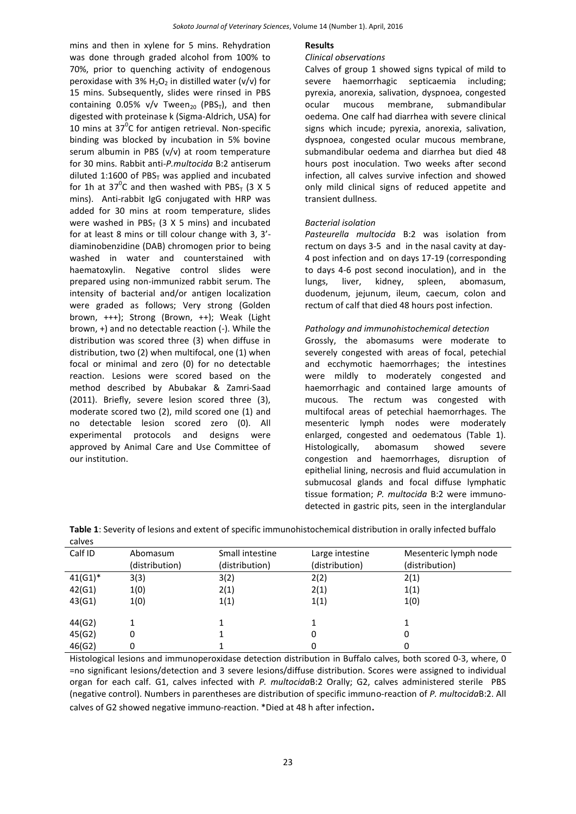mins and then in xylene for 5 mins. Rehydration was done through graded alcohol from 100% to 70%, prior to quenching activity of endogenous peroxidase with 3%  $H_2O_2$  in distilled water (v/v) for 15 mins. Subsequently, slides were rinsed in PBS containing 0.05%  $v/v$  Tween<sub>20</sub> (PBS<sub>T</sub>), and then digested with proteinase k (Sigma-Aldrich, USA) for 10 mins at  $37^{\circ}$ C for antigen retrieval. Non-specific binding was blocked by incubation in 5% bovine serum albumin in PBS (v/v) at room temperature for 30 mins. Rabbit anti-*P.multocida* B:2 antiserum diluted 1:1600 of PBS $<sub>T</sub>$  was applied and incubated</sub> for 1h at 37<sup>o</sup>C and then washed with PBS<sub>T</sub> (3 X 5 mins). Anti-rabbit IgG conjugated with HRP was added for 30 mins at room temperature, slides were washed in PBS<sub>T</sub> (3 X 5 mins) and incubated for at least 8 mins or till colour change with 3, 3' diaminobenzidine (DAB) chromogen prior to being washed in water and counterstained with haematoxylin. Negative control slides were prepared using non-immunized rabbit serum. The intensity of bacterial and/or antigen localization were graded as follows; Very strong (Golden brown, +++); Strong (Brown, ++); Weak (Light brown, +) and no detectable reaction (-). While the distribution was scored three (3) when diffuse in distribution, two (2) when multifocal, one (1) when focal or minimal and zero (0) for no detectable reaction. Lesions were scored based on the method described by Abubakar & Zamri-Saad (2011). Briefly, severe lesion scored three (3), moderate scored two (2), mild scored one (1) and no detectable lesion scored zero (0). All experimental protocols and designs were approved by Animal Care and Use Committee of our institution.

#### **Results**

#### *Clinical observations*

Calves of group 1 showed signs typical of mild to severe haemorrhagic septicaemia including; pyrexia, anorexia, salivation, dyspnoea, congested ocular mucous membrane, submandibular oedema. One calf had diarrhea with severe clinical signs which incude; pyrexia, anorexia, salivation, dyspnoea, congested ocular mucous membrane, submandibular oedema and diarrhea but died 48 hours post inoculation. Two weeks after second infection, all calves survive infection and showed only mild clinical signs of reduced appetite and transient dullness.

#### *Bacterial isolation*

*Pasteurella multocida* B:2 was isolation from rectum on days 3-5 and in the nasal cavity at day-4 post infection and on days 17-19 (corresponding to days 4-6 post second inoculation), and in the lungs, liver, kidney, spleen, abomasum, duodenum, jejunum, ileum, caecum, colon and rectum of calf that died 48 hours post infection.

#### *Pathology and immunohistochemical detection*

Grossly, the abomasums were moderate to severely congested with areas of focal, petechial and ecchymotic haemorrhages; the intestines were mildly to moderately congested and haemorrhagic and contained large amounts of mucous. The rectum was congested with multifocal areas of petechial haemorrhages. The mesenteric lymph nodes were moderately enlarged, congested and oedematous (Table 1). Histologically, abomasum showed severe congestion and haemorrhages, disruption of epithelial lining, necrosis and fluid accumulation in submucosal glands and focal diffuse lymphatic tissue formation; *P. multocida* B:2 were immunodetected in gastric pits, seen in the interglandular

| <b>CUIVLJ</b> |                |                 |                 |                       |  |
|---------------|----------------|-----------------|-----------------|-----------------------|--|
| Calf ID       | Abomasum       | Small intestine | Large intestine | Mesenteric lymph node |  |
|               | (distribution) | (distribution)  | (distribution)  | (distribution)        |  |
| $41(G1)^*$    | 3(3)           | 3(2)            | 2(2)            | 2(1)                  |  |
| 42(G1)        | 1(0)           | 2(1)            | 2(1)            | 1(1)                  |  |
| 43(G1)        | 1(0)           | 1(1)            | 1(1)            | 1(0)                  |  |
|               |                |                 |                 |                       |  |
| 44(G2)        |                |                 |                 |                       |  |
| 45(G2)        | 0              |                 | 0               | 0                     |  |
| 46(G2)        | 0              |                 | 0               |                       |  |
|               |                |                 |                 |                       |  |

**Table 1**: Severity of lesions and extent of specific immunohistochemical distribution in orally infected buffalo calves

Histological lesions and immunoperoxidase detection distribution in Buffalo calves, both scored 0-3, where, 0 =no significant lesions/detection and 3 severe lesions/diffuse distribution. Scores were assigned to individual organ for each calf. G1, calves infected with *P. multocida*B:2 Orally; G2, calves administered sterile PBS (negative control). Numbers in parentheses are distribution of specific immuno-reaction of *P. multocida*B:2. All calves of G2 showed negative immuno-reaction. \*Died at 48 h after infection.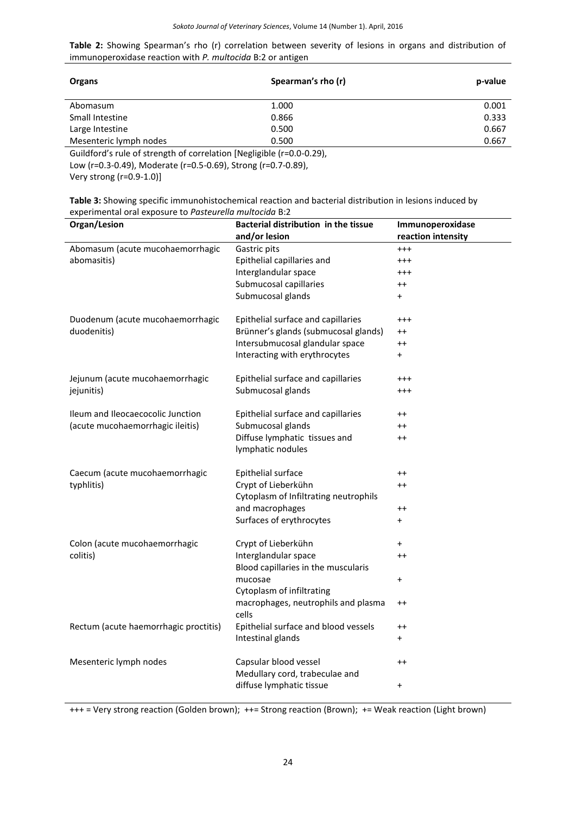**Table 2:** Showing Spearman's rho (r) correlation between severity of lesions in organs and distribution of immunoperoxidase reaction with *P. multocida* B:2 or antigen

| <b>Organs</b>          | Spearman's rho (r) | p-value |
|------------------------|--------------------|---------|
| Abomasum               | 1.000              | 0.001   |
| Small Intestine        | 0.866              | 0.333   |
| Large Intestine        | 0.500              | 0.667   |
| Mesenteric lymph nodes | 0.500              | 0.667   |

Guildford's rule of strength of correlation [Negligible (r=0.0-0.29),

Low (r=0.3-0.49), Moderate (r=0.5-0.69), Strong (r=0.7-0.89),

Very strong (r=0.9-1.0)]

| Table 3: Showing specific immunohistochemical reaction and bacterial distribution in lesions induced by |
|---------------------------------------------------------------------------------------------------------|
| experimental oral exposure to Pasteurella multocida B:2                                                 |

| Organ/Lesion                          | Bacterial distribution in the tissue         | Immunoperoxidase   |  |
|---------------------------------------|----------------------------------------------|--------------------|--|
|                                       | and/or lesion                                | reaction intensity |  |
| Abomasum (acute mucohaemorrhagic      | Gastric pits                                 | $^{+++}$           |  |
| abomasitis)                           | Epithelial capillaries and                   | $^{+++}$           |  |
|                                       | Interglandular space                         | $^{+++}$           |  |
|                                       | Submucosal capillaries                       | $^{++}$            |  |
|                                       | Submucosal glands                            | $\ddot{}$          |  |
| Duodenum (acute mucohaemorrhagic      | Epithelial surface and capillaries           | $^{+++}$           |  |
| duodenitis)                           | Brünner's glands (submucosal glands)         | $++$               |  |
|                                       | Intersubmucosal glandular space              | $^{++}$            |  |
|                                       | Interacting with erythrocytes                | $\ddot{}$          |  |
| Jejunum (acute mucohaemorrhagic       | Epithelial surface and capillaries           | $^{+++}$           |  |
| jejunitis)                            | Submucosal glands                            | $^{+++}$           |  |
| Ileum and Ileocaecocolic Junction     | Epithelial surface and capillaries           | $++$               |  |
| (acute mucohaemorrhagic ileitis)      | Submucosal glands                            | $^{++}$            |  |
|                                       | Diffuse lymphatic tissues and                | $^{++}$            |  |
|                                       | lymphatic nodules                            |                    |  |
| Caecum (acute mucohaemorrhagic        | Epithelial surface                           | $^{++}$            |  |
| typhlitis)                            | Crypt of Lieberkühn                          | $^{++}$            |  |
|                                       | Cytoplasm of Infiltrating neutrophils        |                    |  |
|                                       | and macrophages                              | $^{++}$            |  |
|                                       | Surfaces of erythrocytes                     | $\ddot{}$          |  |
| Colon (acute mucohaemorrhagic         | Crypt of Lieberkühn                          | $\ddot{}$          |  |
| colitis)                              | Interglandular space                         | $^{++}$            |  |
|                                       | Blood capillaries in the muscularis          |                    |  |
|                                       | mucosae                                      | $\pmb{+}$          |  |
|                                       | Cytoplasm of infiltrating                    |                    |  |
|                                       | macrophages, neutrophils and plasma<br>cells | $++$               |  |
| Rectum (acute haemorrhagic proctitis) | Epithelial surface and blood vessels         | $^{\mathrm{+}}$    |  |
|                                       | Intestinal glands                            | $\pmb{+}$          |  |
| Mesenteric lymph nodes                | Capsular blood vessel                        | $++$               |  |
|                                       | Medullary cord, trabeculae and               |                    |  |
|                                       | diffuse lymphatic tissue                     | $\pmb{+}$          |  |
|                                       |                                              |                    |  |

+++ = Very strong reaction (Golden brown); ++= Strong reaction (Brown); += Weak reaction (Light brown)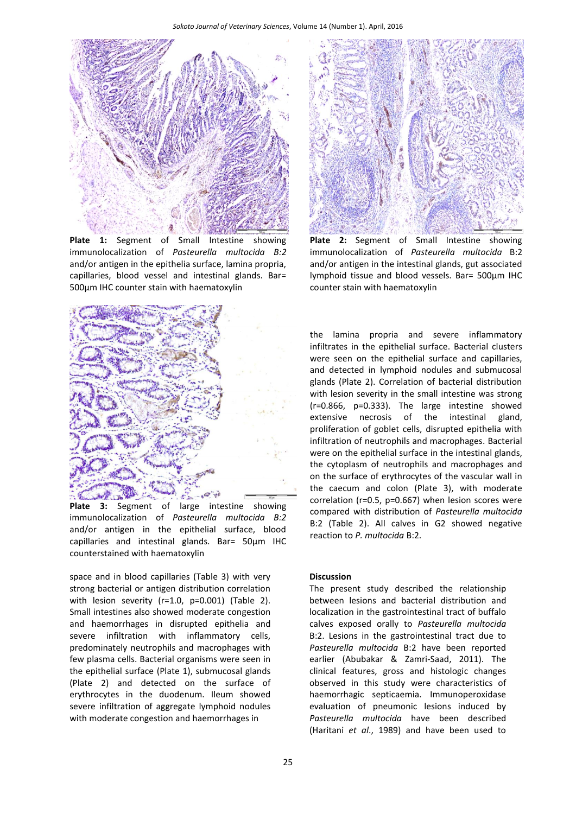

**Plate 1:** Segment of Small Intestine showing immunolocalization of *Pasteurella multocida B:2* and/or antigen in the epithelia surface, lamina propria, capillaries, blood vessel and intestinal glands. Bar= 500μm IHC counter stain with haematoxylin



**Plate 3:** Segment of large intestine showing immunolocalization of *Pasteurella multocida B:2* and/or antigen in the epithelial surface, blood capillaries and intestinal glands. Bar= 50μm IHC counterstained with haematoxylin

space and in blood capillaries (Table 3) with very strong bacterial or antigen distribution correlation with lesion severity (r=1.0, p=0.001) (Table 2). Small intestines also showed moderate congestion and haemorrhages in disrupted epithelia and severe infiltration with inflammatory cells, predominately neutrophils and macrophages with few plasma cells. Bacterial organisms were seen in the epithelial surface (Plate 1), submucosal glands (Plate 2) and detected on the surface of erythrocytes in the duodenum. Ileum showed severe infiltration of aggregate lymphoid nodules with moderate congestion and haemorrhages in



**Plate 2:** Segment of Small Intestine showing immunolocalization of *Pasteurella multocida* B:2 and/or antigen in the intestinal glands, gut associated lymphoid tissue and blood vessels. Bar= 500μm IHC counter stain with haematoxylin

the lamina propria and severe inflammatory infiltrates in the epithelial surface. Bacterial clusters were seen on the epithelial surface and capillaries, and detected in lymphoid nodules and submucosal glands (Plate 2). Correlation of bacterial distribution with lesion severity in the small intestine was strong (r=0.866, p=0.333). The large intestine showed extensive necrosis of the intestinal gland, proliferation of goblet cells, disrupted epithelia with infiltration of neutrophils and macrophages. Bacterial were on the epithelial surface in the intestinal glands, the cytoplasm of neutrophils and macrophages and on the surface of erythrocytes of the vascular wall in the caecum and colon (Plate 3), with moderate correlation (r=0.5, p=0.667) when lesion scores were compared with distribution of *Pasteurella multocida* B:2 (Table 2). All calves in G2 showed negative reaction to *P. multocida* B:2.

#### **Discussion**

The present study described the relationship between lesions and bacterial distribution and localization in the gastrointestinal tract of buffalo calves exposed orally to *Pasteurella multocida* B:2. Lesions in the gastrointestinal tract due to *Pasteurella multocida* B:2 have been reported earlier (Abubakar & Zamri-Saad, 2011). The clinical features, gross and histologic changes observed in this study were characteristics of haemorrhagic septicaemia. Immunoperoxidase evaluation of pneumonic lesions induced by *Pasteurella multocida* have been described (Haritani *et al*., 1989) and have been used to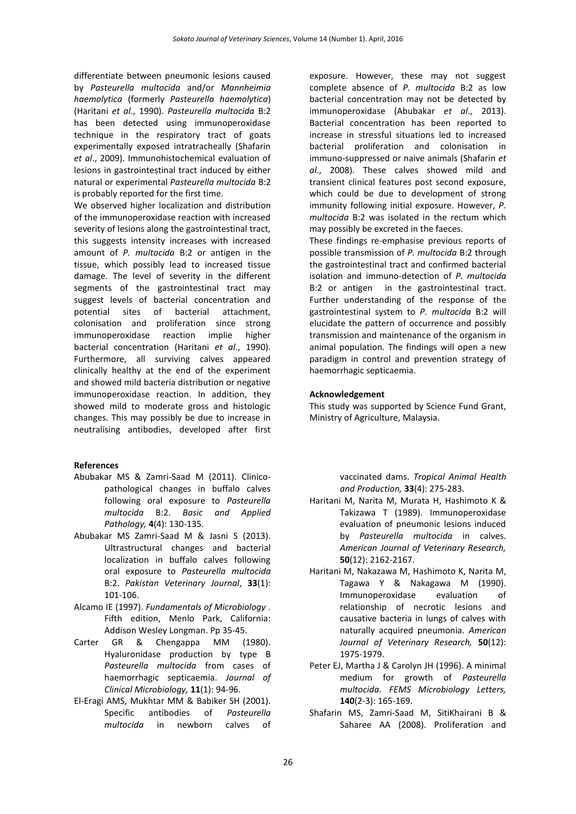differentiate between pneumonic lesions caused by *Pasteurella multocida* and/or *Mannheimia haemolytica* (formerly *Pasteurella haemolytica*) (Haritani *et al*., 1990). *Pasteurella multocida* B:2 has been detected using immunoperoxidase technique in the respiratory tract of goats experimentally exposed intratracheally (Shafarin *et al*., 2009). Immunohistochemical evaluation of lesions in gastrointestinal tract induced by either natural or experimental *Pasteurella multocida* B:2 is probably reported for the first time.

We observed higher localization and distribution of the immunoperoxidase reaction with increased severity of lesions along the gastrointestinal tract, this suggests intensity increases with increased amount of *P. multocida* B:2 or antigen in the tissue, which possibly lead to increased tissue damage. The level of severity in the different segments of the gastrointestinal tract may suggest levels of bacterial concentration and potential sites of bacterial attachment, colonisation and proliferation since strong immunoperoxidase reaction implie higher bacterial concentration (Haritani *et al*., 1990). Furthermore, all surviving calves appeared clinically healthy at the end of the experiment and showed mild bacteria distribution or negative immunoperoxidase reaction. In addition, they showed mild to moderate gross and histologic changes. This may possibly be due to increase in neutralising antibodies, developed after first

#### **References**

- Abubakar MS & Zamri-Saad M (2011). Clinicopathological changes in buffalo calves following oral exposure to *Pasteurella multocida* B:2. *Basic and Applied Pathology,* **4**(4): 130-135.
- Abubakar MS Zamri-Saad M & Jasni S (2013). Ultrastructural changes and bacterial localization in buffalo calves following oral exposure to *Pasteurella multocida* B:2. *Pakistan Veterinary Journal*, **33**(1): 101-106.
- Alcamo IE (1997). *Fundamentals of Microbiology* . Fifth edition, Menlo Park, California: Addison Wesley Longman. Pp 35-45.
- Carter GR & Chengappa MM (1980). Hyaluronidase production by type B *Pasteurella multocida* from cases of haemorrhagic septicaemia. *Journal of Clinical Microbiology,* **11**(1): 94-96.
- El-Eragi AMS, Mukhtar MM & Babiker SH (2001). Specific antibodies of *Pasteurella multocida* in newborn calves of

exposure. However, these may not suggest complete absence of *P. multocida* B:2 as low bacterial concentration may not be detected by immunoperoxidase (Abubakar *et al*., 2013). Bacterial concentration has been reported to increase in stressful situations led to increased bacterial proliferation and colonisation in immuno-suppressed or naive animals (Shafarin *et al*., 2008). These calves showed mild and transient clinical features post second exposure, which could be due to development of strong immunity following initial exposure. However, *P. multocida* B:2 was isolated in the rectum which may possibly be excreted in the faeces.

These findings re-emphasise previous reports of possible transmission of *P. multocida* B:2 through the gastrointestinal tract and confirmed bacterial isolation and immuno-detection of *P. multocida* B:2 or antigen in the gastrointestinal tract. Further understanding of the response of the gastrointestinal system to *P. multocida* B:2 will elucidate the pattern of occurrence and possibly transmission and maintenance of the organism in animal population. The findings will open a new paradigm in control and prevention strategy of haemorrhagic septicaemia.

#### **Acknowledgement**

This study was supported by Science Fund Grant, Ministry of Agriculture, Malaysia.

> vaccinated dams. *Tropical Animal Health and Production,* **33**(4): 275-283.

- Haritani M, Narita M, Murata H, Hashimoto K & Takizawa T (1989). Immunoperoxidase evaluation of pneumonic lesions induced by *Pasteurella multocida* in calves. *American Journal of Veterinary Research,* **50**(12): 2162-2167.
- [Haritani M,](http://ukpmc.ac.uk/search/;jsessionid=mydRx6TaWQDibYpa2tNi.26?page=1&query=AUTH:%22Haritani+M%22+SORT_DATE:y) [Nakazawa M,](http://ukpmc.ac.uk/search/;jsessionid=mydRx6TaWQDibYpa2tNi.26?page=1&query=AUTH:%22Nakazawa+M%22+SORT_DATE:y) [Hashimoto K,](http://ukpmc.ac.uk/search/;jsessionid=mydRx6TaWQDibYpa2tNi.26?page=1&query=AUTH:%22Hashimoto+K%22+SORT_DATE:y) [Narita M,](http://ukpmc.ac.uk/search/;jsessionid=mydRx6TaWQDibYpa2tNi.26?page=1&query=AUTH:%22Narita+M%22+SORT_DATE:y) [Tagawa Y](http://ukpmc.ac.uk/search/;jsessionid=mydRx6TaWQDibYpa2tNi.26?page=1&query=AUTH:%22Tagawa+Y%22+SORT_DATE:y) & [Nakagawa M](http://ukpmc.ac.uk/search/;jsessionid=mydRx6TaWQDibYpa2tNi.26?page=1&query=AUTH:%22Nakagawa+M%22+SORT_DATE:y) (1990). Immunoperoxidase evaluation of relationship of necrotic lesions and causative bacteria in lungs of calves with naturally acquired pneumonia. *American Journal of Veterinary Research,* **50**(12): 1975-1979.
- Peter EJ, Martha J & Carolyn JH (1996). A minimal medium for growth of *Pasteurella multocida. FEMS Microbiology Letters,* **140**(2-3): 165-169.
- Shafarin MS, Zamri-Saad M, SitiKhairani B & Saharee AA (2008). Proliferation and